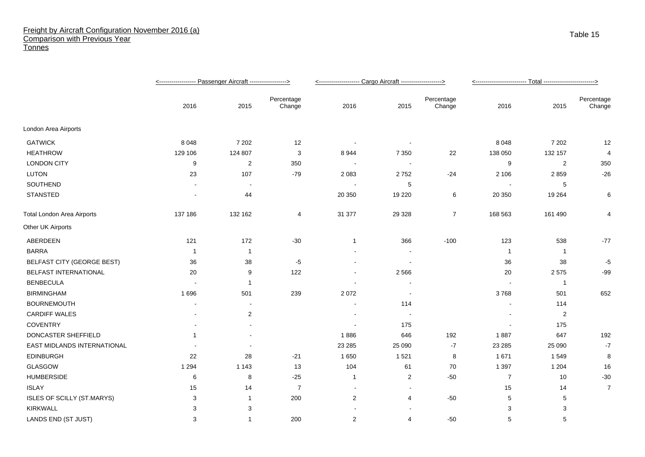## Freight by Aircraft Configuration November 2016 (a) Comparison with Previous Year **Tonnes**

|                                   |                          |                          |                      | <-------------------- Cargo Aircraft -------------------> |                          |                      |                |                |                      |
|-----------------------------------|--------------------------|--------------------------|----------------------|-----------------------------------------------------------|--------------------------|----------------------|----------------|----------------|----------------------|
|                                   | 2016                     | 2015                     | Percentage<br>Change | 2016                                                      | 2015                     | Percentage<br>Change | 2016           | 2015           | Percentage<br>Change |
| London Area Airports              |                          |                          |                      |                                                           |                          |                      |                |                |                      |
| <b>GATWICK</b>                    | 8 0 4 8                  | 7 2 0 2                  | 12                   |                                                           |                          |                      | 8 0 4 8        | 7 2 0 2        | 12                   |
| <b>HEATHROW</b>                   | 129 106                  | 124 807                  | 3                    | 8944                                                      | 7 3 5 0                  | 22                   | 138 050        | 132 157        | 4                    |
| <b>LONDON CITY</b>                | 9                        | $\overline{c}$           | 350                  | $\sim$                                                    | $\sim$                   |                      | 9              | 2              | 350                  |
| <b>LUTON</b>                      | 23                       | 107                      | $-79$                | 2 0 8 3                                                   | 2752                     | $-24$                | 2 1 0 6        | 2859           | $-26$                |
| SOUTHEND                          |                          | $\overline{\phantom{a}}$ |                      |                                                           | 5                        |                      |                | 5              |                      |
| STANSTED                          |                          | 44                       |                      | 20 350                                                    | 19 2 20                  | 6                    | 20 350         | 19 2 64        | 6                    |
| <b>Total London Area Airports</b> | 137 186                  | 132 162                  | 4                    | 31 377                                                    | 29 3 28                  | $\overline{7}$       | 168 563        | 161 490        | 4                    |
| Other UK Airports                 |                          |                          |                      |                                                           |                          |                      |                |                |                      |
| ABERDEEN                          | 121                      | 172                      | $-30$                | 1                                                         | 366                      | $-100$               | 123            | 538            | $-77$                |
| <b>BARRA</b>                      | $\overline{1}$           | $\overline{1}$           |                      |                                                           |                          |                      | $\overline{1}$ | $\overline{1}$ |                      |
| BELFAST CITY (GEORGE BEST)        | 36                       | 38                       | $-5$                 |                                                           | $\overline{\phantom{a}}$ |                      | 36             | 38             | $-5$                 |
| BELFAST INTERNATIONAL             | 20                       | 9                        | 122                  |                                                           | 2566                     |                      | 20             | 2575           | $-99$                |
| <b>BENBECULA</b>                  |                          | -1                       |                      |                                                           |                          |                      |                | $\overline{1}$ |                      |
| <b>BIRMINGHAM</b>                 | 1696                     | 501                      | 239                  | 2072                                                      | $\sim$                   |                      | 3768           | 501            | 652                  |
| <b>BOURNEMOUTH</b>                |                          |                          |                      |                                                           | 114                      |                      |                | 114            |                      |
| <b>CARDIFF WALES</b>              |                          | $\overline{c}$           |                      |                                                           |                          |                      |                | $\overline{2}$ |                      |
| <b>COVENTRY</b>                   | $\overline{\phantom{a}}$ |                          |                      |                                                           | 175                      |                      |                | 175            |                      |
| DONCASTER SHEFFIELD               | 1                        |                          |                      | 1886                                                      | 646                      | 192                  | 1887           | 647            | 192                  |
| EAST MIDLANDS INTERNATIONAL       |                          |                          |                      | 23 28 5                                                   | 25 090                   | $-7$                 | 23 28 5        | 25 090         | $-7$                 |
| <b>EDINBURGH</b>                  | 22                       | 28                       | $-21$                | 1650                                                      | 1 5 2 1                  | 8                    | 1 671          | 1549           | 8                    |
| GLASGOW                           | 1 2 9 4                  | 1 1 4 3                  | 13                   | 104                                                       | 61                       | 70                   | 1 3 9 7        | 1 2 0 4        | 16                   |
| <b>HUMBERSIDE</b>                 | 6                        | 8                        | $-25$                | 1                                                         | 2                        | $-50$                | $\overline{7}$ | 10             | $-30$                |
| <b>ISLAY</b>                      | 15                       | 14                       | $\overline{7}$       |                                                           |                          |                      | 15             | 14             | $\overline{7}$       |
| ISLES OF SCILLY (ST.MARYS)        | 3                        | -1                       | 200                  | $\boldsymbol{2}$                                          | 4                        | $-50$                | 5              | 5              |                      |
| <b>KIRKWALL</b>                   | 3                        | 3                        |                      |                                                           |                          |                      | 3              | 3              |                      |
| LANDS END (ST JUST)               | 3                        | -1                       | 200                  | 2                                                         | 4                        | $-50$                | 5              | 5              |                      |